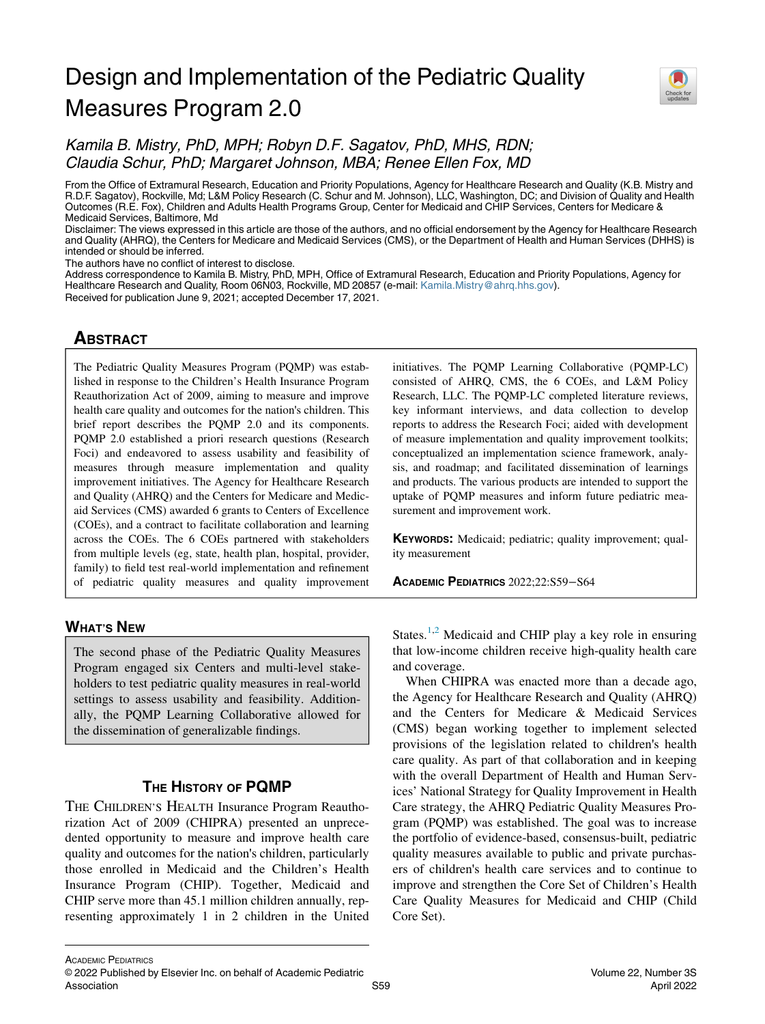# Design and Implementation of the Pediatric Quality Measures Program 2.0



# Kamila B. Mistry, PhD, MPH; Robyn D.F. Sagatov, PhD, MHS, RDN; Claudia Schur, PhD; Margaret Johnson, MBA; Renee Ellen Fox, MD

From the Office of Extramural Research, Education and Priority Populations, Agency for Healthcare Research and Quality (K.B. Mistry and R.D.F. Sagatov), Rockville, Md; L&M Policy Research (C. Schur and M. Johnson), LLC, Washington, DC; and Division of Quality and Health Outcomes (R.E. Fox), Children and Adults Health Programs Group, Center for Medicaid and CHIP Services, Centers for Medicare & Medicaid Services, Baltimore, Md

Disclaimer: The views expressed in this article are those of the authors, and no official endorsement by the Agency for Healthcare Research and Quality (AHRQ), the Centers for Medicare and Medicaid Services (CMS), or the Department of Health and Human Services (DHHS) is intended or should be inferred.

The authors have no conflict of interest to disclose.

Address correspondence to Kamila B. Mistry, PhD, MPH, Office of Extramural Research, Education and Priority Populations, Agency for Healthcare Research and Quality, Room 06N03, Rockville, MD 20857 (e-mail: [Kamila.Mistry@ahrq.hhs.gov](mailto:Kamila.Mistry@ahrq.hhs.gov)). Received for publication June 9, 2021; accepted December 17, 2021.

# **ABSTRACT** <u>ABSOLUTE</u>

The Pediatric Quality Measures Program (PQMP) was established in response to the Children's Health Insurance Program Reauthorization Act of 2009, aiming to measure and improve health care quality and outcomes for the nation's children. This brief report describes the PQMP 2.0 and its components. PQMP 2.0 established a priori research questions (Research Foci) and endeavored to assess usability and feasibility of measures through measure implementation and quality improvement initiatives. The Agency for Healthcare Research and Quality (AHRQ) and the Centers for Medicare and Medicaid Services (CMS) awarded 6 grants to Centers of Excellence (COEs), and a contract to facilitate collaboration and learning across the COEs. The 6 COEs partnered with stakeholders from multiple levels (eg, state, health plan, hospital, provider, family) to field test real-world implementation and refinement of pediatric quality measures and quality improvement

WHAT'S NEWSFILM The second phase of the Pediatric Quality Measures Program engaged six Centers and multi-level stakeholders to test pediatric quality measures in real-world settings to assess usability and feasibility. Additionally, the PQMP Learning Collaborative allowed for the dissemination of generalizable findings.

THE CHILDREN'S HEALTH Insurance Program Reauthorization Act of 2009 (CHIPRA) presented an unprecedented opportunity to measure and improve health care quality and outcomes for the nation's children, particularly those enrolled in Medicaid and the Children's Health Insurance Program (CHIP). Together, Medicaid and CHIP serve more than 45.1 million children annually, representing approximately 1 in 2 children in the United initiatives. The PQMP Learning Collaborative (PQMP-LC) consisted of AHRQ, CMS, the 6 COEs, and L&M Policy Research, LLC. The PQMP-LC completed literature reviews, key informant interviews, and data collection to develop reports to address the Research Foci; aided with development of measure implementation and quality improvement toolkits; conceptualized an implementation science framework, analysis, and roadmap; and facilitated dissemination of learnings and products. The various products are intended to support the uptake of PQMP measures and inform future pediatric measurement and improvement work.

KEYWORDS: Medicaid; pediatric; quality improvement; quality measurement

ACADEMIC PEDIATRICS 2022;22:S59−S64

States.<sup>[1](#page-5-0)[,2](#page-5-1)</sup> Medicaid and CHIP play a key role in ensuring that low-income children receive high-quality health care and coverage.

When CHIPRA was enacted more than a decade ago, the Agency for Healthcare Research and Quality (AHRQ) and the Centers for Medicare & Medicaid Services (CMS) began working together to implement selected provisions of the legislation related to children's health care quality. As part of that collaboration and in keeping with the overall Department of Health and Human Services' National Strategy for Quality Improvement in Health Care strategy, the AHRQ Pediatric Quality Measures Program (PQMP) was established. The goal was to increase the portfolio of evidence-based, consensus-built, pediatric quality measures available to public and private purchasers of children's health care services and to continue to improve and strengthen the Core Set of Children's Health Care Quality Measures for Medicaid and CHIP (Child Core Set).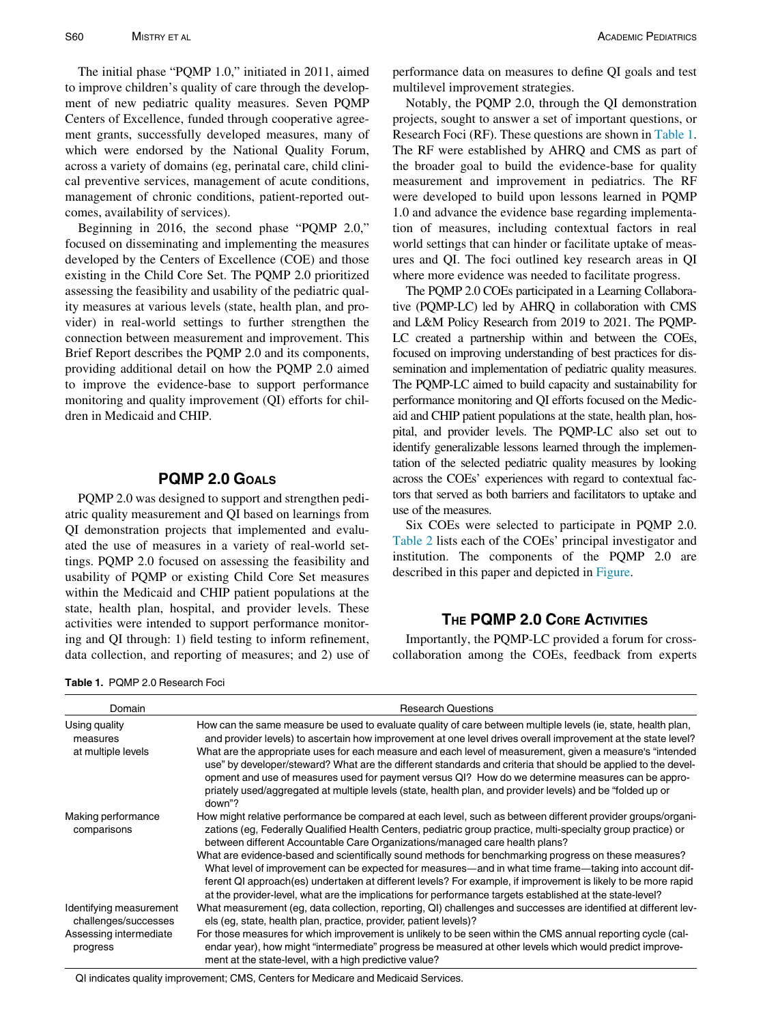The initial phase "PQMP 1.0," initiated in 2011, aimed to improve children's quality of care through the development of new pediatric quality measures. Seven PQMP Centers of Excellence, funded through cooperative agreement grants, successfully developed measures, many of which were endorsed by the National Quality Forum, across a variety of domains (eg, perinatal care, child clinical preventive services, management of acute conditions, management of chronic conditions, patient-reported outcomes, availability of services).

Beginning in 2016, the second phase "PQMP 2.0," focused on disseminating and implementing the measures developed by the Centers of Excellence (COE) and those existing in the Child Core Set. The PQMP 2.0 prioritized assessing the feasibility and usability of the pediatric quality measures at various levels (state, health plan, and provider) in real-world settings to further strengthen the connection between measurement and improvement. This Brief Report describes the PQMP 2.0 and its components, providing additional detail on how the PQMP 2.0 aimed to improve the evidence-base to support performance monitoring and quality improvement (QI) efforts for children in Medicaid and CHIP.

# POMP 2.0 GOALS

PQMP 2.0 was designed to support and strengthen pediatric quality measurement and QI based on learnings from QI demonstration projects that implemented and evaluated the use of measures in a variety of real-world settings. PQMP 2.0 focused on assessing the feasibility and usability of PQMP or existing Child Core Set measures within the Medicaid and CHIP patient populations at the state, health plan, hospital, and provider levels. These activities were intended to support performance monitoring and QI through: 1) field testing to inform refinement, data collection, and reporting of measures; and 2) use of

<span id="page-1-0"></span>Table 1. PQMP 2.0 Research Foci

performance data on measures to define QI goals and test multilevel improvement strategies.

Notably, the PQMP 2.0, through the QI demonstration projects, sought to answer a set of important questions, or Research Foci (RF). These questions are shown in [Table 1.](#page-1-0) The RF were established by AHRQ and CMS as part of the broader goal to build the evidence-base for quality measurement and improvement in pediatrics. The RF were developed to build upon lessons learned in PQMP 1.0 and advance the evidence base regarding implementation of measures, including contextual factors in real world settings that can hinder or facilitate uptake of measures and QI. The foci outlined key research areas in QI where more evidence was needed to facilitate progress.

The PQMP 2.0 COEs participated in a Learning Collaborative (PQMP-LC) led by AHRQ in collaboration with CMS and L&M Policy Research from 2019 to 2021. The PQMP-LC created a partnership within and between the COEs, focused on improving understanding of best practices for dissemination and implementation of pediatric quality measures. The PQMP-LC aimed to build capacity and sustainability for performance monitoring and QI efforts focused on the Medicaid and CHIP patient populations at the state, health plan, hospital, and provider levels. The PQMP-LC also set out to identify generalizable lessons learned through the implementation of the selected pediatric quality measures by looking across the COEs' experiences with regard to contextual factors that served as both barriers and facilitators to uptake and use of the measures.

Six COEs were selected to participate in PQMP 2.0. [Table 2](#page-2-0) lists each of the COEs' principal investigator and institution. The components of the PQMP 2.0 are described in this paper and depicted in [Figure](#page-3-0).

## THE PQMP 2.0 CORE ACTIVITIES

Importantly, the PQMP-LC provided a forum for crosscollaboration among the COEs, feedback from experts

| Domain                                          | <b>Research Questions</b>                                                                                                                                                                                                                                                                                                                                                                                                                               |  |  |  |
|-------------------------------------------------|---------------------------------------------------------------------------------------------------------------------------------------------------------------------------------------------------------------------------------------------------------------------------------------------------------------------------------------------------------------------------------------------------------------------------------------------------------|--|--|--|
| Using quality<br>measures                       | How can the same measure be used to evaluate quality of care between multiple levels (ie, state, health plan,<br>and provider levels) to ascertain how improvement at one level drives overall improvement at the state level?                                                                                                                                                                                                                          |  |  |  |
| at multiple levels                              | What are the appropriate uses for each measure and each level of measurement, given a measure's "intended<br>use" by developer/steward? What are the different standards and criteria that should be applied to the devel-<br>opment and use of measures used for payment versus QI? How do we determine measures can be appro-<br>priately used/aggregated at multiple levels (state, health plan, and provider levels) and be "folded up or<br>down"? |  |  |  |
| Making performance<br>comparisons               | How might relative performance be compared at each level, such as between different provider groups/organi-<br>zations (eg, Federally Qualified Health Centers, pediatric group practice, multi-specialty group practice) or<br>between different Accountable Care Organizations/managed care health plans?                                                                                                                                             |  |  |  |
|                                                 | What are evidence-based and scientifically sound methods for benchmarking progress on these measures?<br>What level of improvement can be expected for measures—and in what time frame—taking into account dif-<br>ferent QI approach(es) undertaken at different levels? For example, if improvement is likely to be more rapid<br>at the provider-level, what are the implications for performance targets established at the state-level?            |  |  |  |
| Identifying measurement<br>challenges/successes | What measurement (eg, data collection, reporting, QI) challenges and successes are identified at different lev-<br>els (eq. state, health plan, practice, provider, patient levels)?                                                                                                                                                                                                                                                                    |  |  |  |
| Assessing intermediate<br>progress              | For those measures for which improvement is unlikely to be seen within the CMS annual reporting cycle (cal-<br>endar year), how might "intermediate" progress be measured at other levels which would predict improve-<br>ment at the state-level, with a high predictive value?                                                                                                                                                                        |  |  |  |

QI indicates quality improvement; CMS, Centers for Medicare and Medicaid Services.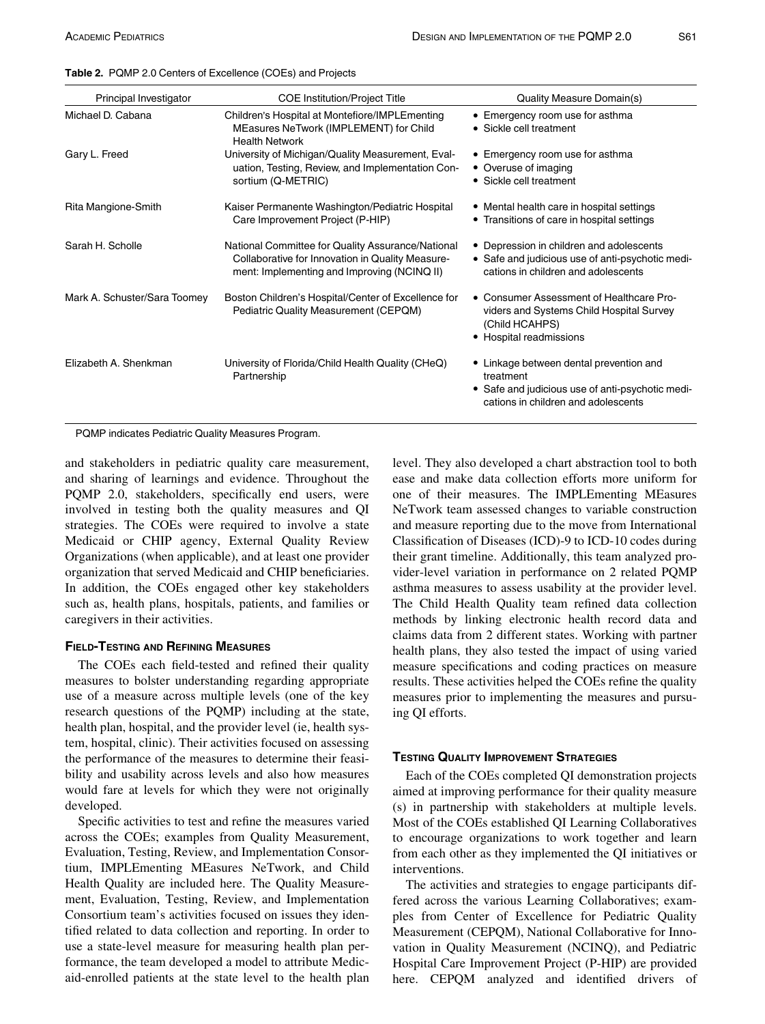<span id="page-2-0"></span>

|  | Table 2. PQMP 2.0 Centers of Excellence (COEs) and Projects |  |  |  |
|--|-------------------------------------------------------------|--|--|--|
|  |                                                             |  |  |  |

| Principal Investigator       | <b>COE Institution/Project Title</b>                                                                                                                 | Quality Measure Domain(s)                                                                                                                       |
|------------------------------|------------------------------------------------------------------------------------------------------------------------------------------------------|-------------------------------------------------------------------------------------------------------------------------------------------------|
| Michael D. Cabana            | Children's Hospital at Montefiore/IMPLEmenting<br>MEasures NeTwork (IMPLEMENT) for Child<br><b>Health Network</b>                                    | • Emergency room use for asthma<br>• Sickle cell treatment                                                                                      |
| Gary L. Freed                | University of Michigan/Quality Measurement, Eval-<br>uation, Testing, Review, and Implementation Con-<br>sortium (Q-METRIC)                          | • Emergency room use for asthma<br>• Overuse of imaging<br>• Sickle cell treatment                                                              |
| Rita Mangione-Smith          | Kaiser Permanente Washington/Pediatric Hospital<br>Care Improvement Project (P-HIP)                                                                  | • Mental health care in hospital settings<br>• Transitions of care in hospital settings                                                         |
| Sarah H. Scholle             | National Committee for Quality Assurance/National<br>Collaborative for Innovation in Quality Measure-<br>ment: Implementing and Improving (NCINQ II) | • Depression in children and adolescents<br>• Safe and judicious use of anti-psychotic medi-<br>cations in children and adolescents             |
| Mark A. Schuster/Sara Toomey | Boston Children's Hospital/Center of Excellence for<br>Pediatric Quality Measurement (CEPQM)                                                         | • Consumer Assessment of Healthcare Pro-<br>viders and Systems Child Hospital Survey<br>(Child HCAHPS)<br>• Hospital readmissions               |
| Elizabeth A. Shenkman        | University of Florida/Child Health Quality (CHeQ)<br>Partnership                                                                                     | • Linkage between dental prevention and<br>treatment<br>• Safe and judicious use of anti-psychotic medi-<br>cations in children and adolescents |

PQMP indicates Pediatric Quality Measures Program.

and stakeholders in pediatric quality care measurement, and sharing of learnings and evidence. Throughout the PQMP 2.0, stakeholders, specifically end users, were involved in testing both the quality measures and QI strategies. The COEs were required to involve a state Medicaid or CHIP agency, External Quality Review Organizations (when applicable), and at least one provider organization that served Medicaid and CHIP beneficiaries. In addition, the COEs engaged other key stakeholders such as, health plans, hospitals, patients, and families or caregivers in their activities.

The COEs each field-tested and refined their quality measures to bolster understanding regarding appropriate use of a measure across multiple levels (one of the key research questions of the PQMP) including at the state, health plan, hospital, and the provider level (ie, health system, hospital, clinic). Their activities focused on assessing the performance of the measures to determine their feasibility and usability across levels and also how measures would fare at levels for which they were not originally developed.

Specific activities to test and refine the measures varied across the COEs; examples from Quality Measurement, Evaluation, Testing, Review, and Implementation Consortium, IMPLEmenting MEasures NeTwork, and Child Health Quality are included here. The Quality Measurement, Evaluation, Testing, Review, and Implementation Consortium team's activities focused on issues they identified related to data collection and reporting. In order to use a state-level measure for measuring health plan performance, the team developed a model to attribute Medicaid-enrolled patients at the state level to the health plan

level. They also developed a chart abstraction tool to both ease and make data collection efforts more uniform for one of their measures. The IMPLEmenting MEasures NeTwork team assessed changes to variable construction and measure reporting due to the move from International Classification of Diseases (ICD)-9 to ICD-10 codes during their grant timeline. Additionally, this team analyzed provider-level variation in performance on 2 related PQMP asthma measures to assess usability at the provider level. The Child Health Quality team refined data collection methods by linking electronic health record data and claims data from 2 different states. Working with partner health plans, they also tested the impact of using varied measure specifications and coding practices on measure results. These activities helped the COEs refine the quality measures prior to implementing the measures and pursuing QI efforts.

Each of the COEs completed QI demonstration projects aimed at improving performance for their quality measure (s) in partnership with stakeholders at multiple levels. Most of the COEs established QI Learning Collaboratives to encourage organizations to work together and learn from each other as they implemented the QI initiatives or interventions.

The activities and strategies to engage participants differed across the various Learning Collaboratives; examples from Center of Excellence for Pediatric Quality Measurement (CEPQM), National Collaborative for Innovation in Quality Measurement (NCINQ), and Pediatric Hospital Care Improvement Project (P-HIP) are provided here. CEPQM analyzed and identified drivers of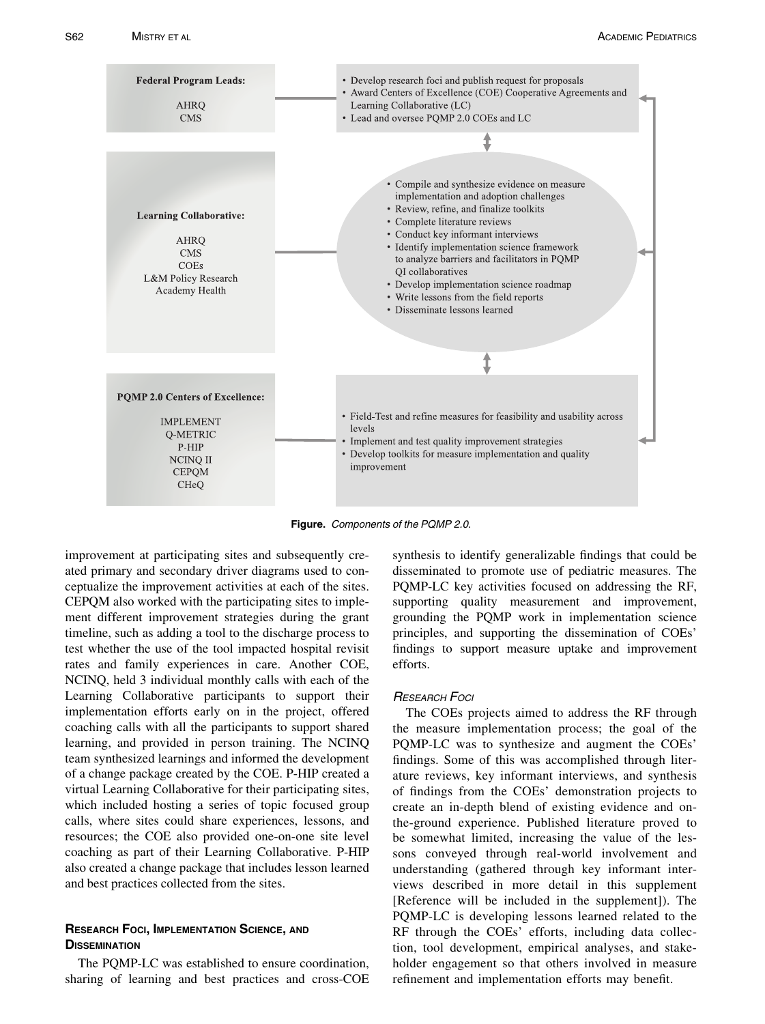<span id="page-3-0"></span>

Figure. Components of the PQMP 2.0.

improvement at participating sites and subsequently created primary and secondary driver diagrams used to conceptualize the improvement activities at each of the sites. CEPQM also worked with the participating sites to implement different improvement strategies during the grant timeline, such as adding a tool to the discharge process to test whether the use of the tool impacted hospital revisit rates and family experiences in care. Another COE, NCINQ, held 3 individual monthly calls with each of the Learning Collaborative participants to support their implementation efforts early on in the project, offered coaching calls with all the participants to support shared learning, and provided in person training. The NCINQ team synthesized learnings and informed the development of a change package created by the COE. P-HIP created a virtual Learning Collaborative for their participating sites, which included hosting a series of topic focused group calls, where sites could share experiences, lessons, and resources; the COE also provided one-on-one site level coaching as part of their Learning Collaborative. P-HIP also created a change package that includes lesson learned and best practices collected from the sites.

# RESEARCH FOCI, IMPLEMENTATION SCIENCE, AND<br>DISSEMINATION

The PQMP-LC was established to ensure coordination, sharing of learning and best practices and cross-COE synthesis to identify generalizable findings that could be disseminated to promote use of pediatric measures. The PQMP-LC key activities focused on addressing the RF, supporting quality measurement and improvement, grounding the PQMP work in implementation science principles, and supporting the dissemination of COEs' findings to support measure uptake and improvement efforts.

## RESEARCH FOCI

The COEs projects aimed to address the RF through the measure implementation process; the goal of the PQMP-LC was to synthesize and augment the COEs' findings. Some of this was accomplished through literature reviews, key informant interviews, and synthesis of findings from the COEs' demonstration projects to create an in-depth blend of existing evidence and onthe-ground experience. Published literature proved to be somewhat limited, increasing the value of the lessons conveyed through real-world involvement and understanding (gathered through key informant interviews described in more detail in this supplement [Reference will be included in the supplement]). The PQMP-LC is developing lessons learned related to the RF through the COEs' efforts, including data collection, tool development, empirical analyses, and stakeholder engagement so that others involved in measure refinement and implementation efforts may benefit.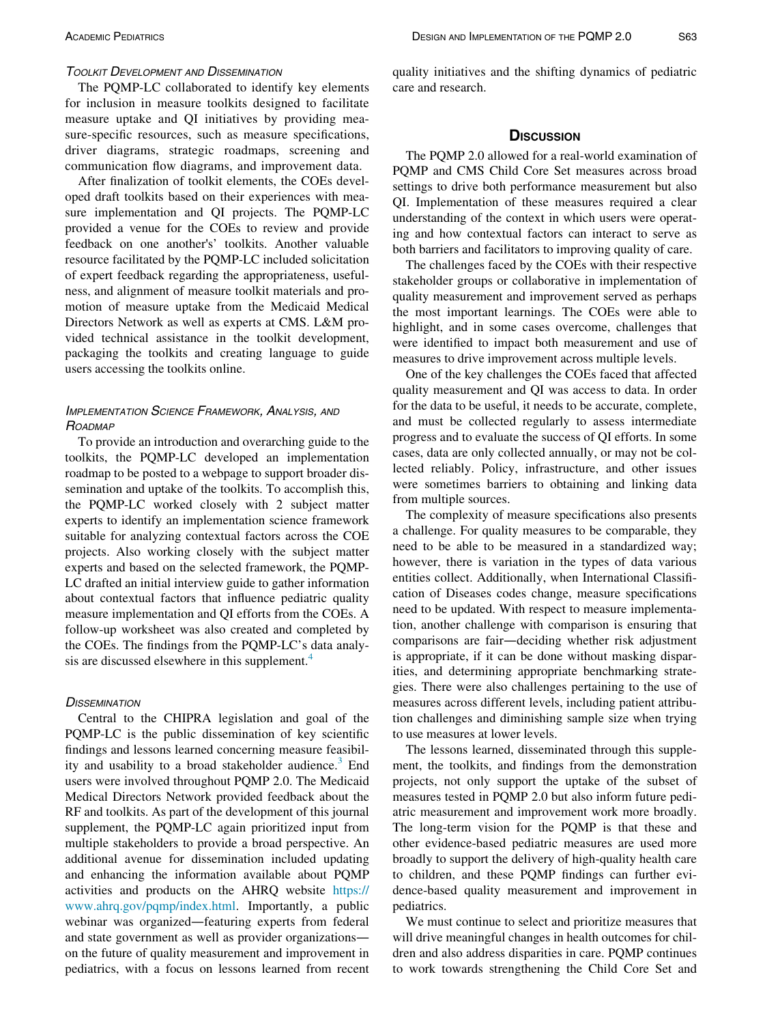## TOOLKIT DEVELOPMENT AND DISSEMINATION

The PQMP-LC collaborated to identify key elements for inclusion in measure toolkits designed to facilitate measure uptake and QI initiatives by providing measure-specific resources, such as measure specifications, driver diagrams, strategic roadmaps, screening and communication flow diagrams, and improvement data.

After finalization of toolkit elements, the COEs developed draft toolkits based on their experiences with measure implementation and QI projects. The PQMP-LC provided a venue for the COEs to review and provide feedback on one another's' toolkits. Another valuable resource facilitated by the PQMP-LC included solicitation of expert feedback regarding the appropriateness, usefulness, and alignment of measure toolkit materials and promotion of measure uptake from the Medicaid Medical Directors Network as well as experts at CMS. L&M provided technical assistance in the toolkit development, packaging the toolkits and creating language to guide users accessing the toolkits online.

## IMPLEMENTATION SCIENCE FRAMEWORK, ANALYSIS, AND **ROADMAP**

To provide an introduction and overarching guide to the toolkits, the PQMP-LC developed an implementation roadmap to be posted to a webpage to support broader dissemination and uptake of the toolkits. To accomplish this, the PQMP-LC worked closely with 2 subject matter experts to identify an implementation science framework suitable for analyzing contextual factors across the COE projects. Also working closely with the subject matter experts and based on the selected framework, the PQMP-LC drafted an initial interview guide to gather information about contextual factors that influence pediatric quality measure implementation and QI efforts from the COEs. A follow-up worksheet was also created and completed by the COEs. The findings from the PQMP-LC's data analy-sis are discussed elsewhere in this supplement.<sup>[4](#page-5-2)</sup>

## **DISSEMINATION**

Central to the CHIPRA legislation and goal of the PQMP-LC is the public dissemination of key scientific findings and lessons learned concerning measure feasibil-ity and usability to a broad stakeholder audience.<sup>[3](#page-5-3)</sup> End users were involved throughout PQMP 2.0. The Medicaid Medical Directors Network provided feedback about the RF and toolkits. As part of the development of this journal supplement, the PQMP-LC again prioritized input from multiple stakeholders to provide a broad perspective. An additional avenue for dissemination included updating and enhancing the information available about PQMP activities and products on the AHRQ website [https://](https://www.ahrq.gov/pqmp/index.html) [www.ahrq.gov/pqmp/index.html](https://www.ahrq.gov/pqmp/index.html). Importantly, a public webinar was organized—featuring experts from federal and state government as well as provider organizations on the future of quality measurement and improvement in pediatrics, with a focus on lessons learned from recent quality initiatives and the shifting dynamics of pediatric care and research.

The PQMP 2.0 allowed for a real-world examination of PQMP and CMS Child Core Set measures across broad settings to drive both performance measurement but also QI. Implementation of these measures required a clear understanding of the context in which users were operating and how contextual factors can interact to serve as both barriers and facilitators to improving quality of care.

The challenges faced by the COEs with their respective stakeholder groups or collaborative in implementation of quality measurement and improvement served as perhaps the most important learnings. The COEs were able to highlight, and in some cases overcome, challenges that were identified to impact both measurement and use of measures to drive improvement across multiple levels.

One of the key challenges the COEs faced that affected quality measurement and QI was access to data. In order for the data to be useful, it needs to be accurate, complete, and must be collected regularly to assess intermediate progress and to evaluate the success of QI efforts. In some cases, data are only collected annually, or may not be collected reliably. Policy, infrastructure, and other issues were sometimes barriers to obtaining and linking data from multiple sources.

The complexity of measure specifications also presents a challenge. For quality measures to be comparable, they need to be able to be measured in a standardized way; however, there is variation in the types of data various entities collect. Additionally, when International Classification of Diseases codes change, measure specifications need to be updated. With respect to measure implementation, another challenge with comparison is ensuring that comparisons are fair—deciding whether risk adjustment is appropriate, if it can be done without masking disparities, and determining appropriate benchmarking strategies. There were also challenges pertaining to the use of measures across different levels, including patient attribution challenges and diminishing sample size when trying to use measures at lower levels.

The lessons learned, disseminated through this supplement, the toolkits, and findings from the demonstration projects, not only support the uptake of the subset of measures tested in PQMP 2.0 but also inform future pediatric measurement and improvement work more broadly. The long-term vision for the PQMP is that these and other evidence-based pediatric measures are used more broadly to support the delivery of high-quality health care to children, and these PQMP findings can further evidence-based quality measurement and improvement in pediatrics.

We must continue to select and prioritize measures that will drive meaningful changes in health outcomes for children and also address disparities in care. PQMP continues to work towards strengthening the Child Core Set and